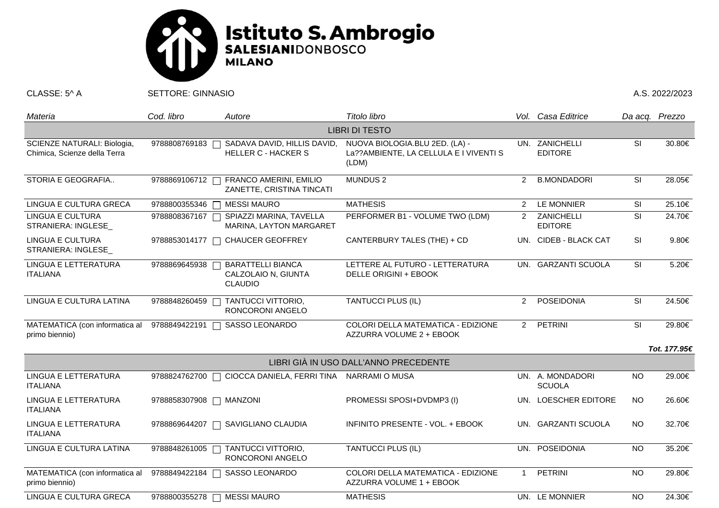

CLASSE: 5^ A SETTORE: GINNASIO A.S. 2022/2023

| Materia                                                     | Cod. libro    | Autore                                                            | Titolo libro                                                                      |                | Vol. Casa Editrice                | Da acq. Prezzo |              |  |  |  |
|-------------------------------------------------------------|---------------|-------------------------------------------------------------------|-----------------------------------------------------------------------------------|----------------|-----------------------------------|----------------|--------------|--|--|--|
| <b>LIBRI DI TESTO</b>                                       |               |                                                                   |                                                                                   |                |                                   |                |              |  |  |  |
| SCIENZE NATURALI: Biologia,<br>Chimica, Scienze della Terra | 9788808769183 | SADAVA DAVID, HILLIS DAVID,<br><b>HELLER C - HACKER S</b>         | NUOVA BIOLOGIA.BLU 2ED. (LA) -<br>La??AMBIENTE, LA CELLULA E I VIVENTI S<br>(LDM) |                | UN. ZANICHELLI<br><b>EDITORE</b>  | SI             | 30.80€       |  |  |  |
| STORIA E GEOGRAFIA                                          | 9788869106712 | FRANCO AMERINI, EMILIO<br>ZANETTE, CRISTINA TINCATI               | MUNDUS <sub>2</sub>                                                               | $\overline{2}$ | <b>B.MONDADORI</b>                | SI             | 28.05€       |  |  |  |
| LINGUA E CULTURA GRECA                                      | 9788800355346 | <b>MESSI MAURO</b>                                                | <b>MATHESIS</b>                                                                   | $\overline{2}$ | LE MONNIER                        | SI             | 25.10€       |  |  |  |
| <b>LINGUA E CULTURA</b><br>STRANIERA: INGLESE               | 9788808367167 | SPIAZZI MARINA, TAVELLA<br>MARINA, LAYTON MARGARET                | PERFORMER B1 - VOLUME TWO (LDM)                                                   | $2^{\circ}$    | ZANICHELLI<br><b>EDITORE</b>      | SI             | 24.70€       |  |  |  |
| LINGUA E CULTURA<br>STRANIERA: INGLESE_                     | 9788853014177 | <b>CHAUCER GEOFFREY</b>                                           | CANTERBURY TALES (THE) + CD                                                       |                | UN. CIDEB - BLACK CAT             | <b>SI</b>      | 9.80€        |  |  |  |
| LINGUA E LETTERATURA<br><b>ITALIANA</b>                     | 9788869645938 | <b>BARATTELLI BIANCA</b><br>CALZOLAIO N, GIUNTA<br><b>CLAUDIO</b> | LETTERE AL FUTURO - LETTERATURA<br>DELLE ORIGINI + EBOOK                          |                | UN. GARZANTI SCUOLA               | <b>SI</b>      | 5.20€        |  |  |  |
| LINGUA E CULTURA LATINA                                     | 9788848260459 | TANTUCCI VITTORIO,<br>RONCORONI ANGELO                            | <b>TANTUCCI PLUS (IL)</b>                                                         | $\overline{2}$ | POSEIDONIA                        | <b>SI</b>      | 24.50€       |  |  |  |
| MATEMATICA (con informatica al<br>primo biennio)            | 9788849422191 | SASSO LEONARDO                                                    | COLORI DELLA MATEMATICA - EDIZIONE<br>AZZURRA VOLUME 2 + EBOOK                    |                | 2 PETRINI                         | SI             | 29.80€       |  |  |  |
|                                                             |               |                                                                   |                                                                                   |                |                                   |                | Tot. 177.95€ |  |  |  |
| LIBRI GIÀ IN USO DALL'ANNO PRECEDENTE                       |               |                                                                   |                                                                                   |                |                                   |                |              |  |  |  |
| LINGUA E LETTERATURA<br><b>ITALIANA</b>                     | 9788824762700 | CIOCCA DANIELA, FERRI TINA NARRAMI O MUSA<br>$\Box$               |                                                                                   |                | UN. A. MONDADORI<br><b>SCUOLA</b> | <b>NO</b>      | 29.00€       |  |  |  |
| LINGUA E LETTERATURA<br><b>ITALIANA</b>                     | 9788858307908 | <b>MANZONI</b>                                                    | PROMESSI SPOSI+DVDMP3 (I)                                                         |                | UN. LOESCHER EDITORE              | <b>NO</b>      | 26.60€       |  |  |  |
| LINGUA E LETTERATURA<br><b>ITALIANA</b>                     | 9788869644207 | SAVIGLIANO CLAUDIA                                                | INFINITO PRESENTE - VOL. + EBOOK                                                  |                | UN. GARZANTI SCUOLA               | NO.            | 32.70€       |  |  |  |
| LINGUA E CULTURA LATINA                                     | 9788848261005 | TANTUCCI VITTORIO,<br>RONCORONI ANGELO                            | <b>TANTUCCI PLUS (IL)</b>                                                         |                | UN. POSEIDONIA                    | <b>NO</b>      | 35.20€       |  |  |  |
| MATEMATICA (con informatica al<br>primo biennio)            | 9788849422184 | SASSO LEONARDO                                                    | COLORI DELLA MATEMATICA - EDIZIONE<br>AZZURRA VOLUME 1 + EBOOK                    | $\overline{1}$ | PETRINI                           | <b>NO</b>      | 29.80€       |  |  |  |
| LINGUA E CULTURA GRECA                                      | 9788800355278 | <b>MESSI MAURO</b>                                                | <b>MATHESIS</b>                                                                   |                | UN. LE MONNIER                    | <b>NO</b>      | 24.30€       |  |  |  |